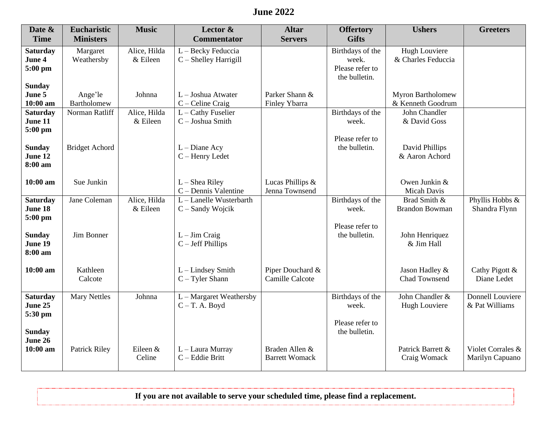## **June 2022**

| Date &          | <b>Eucharistic</b>    | <b>Music</b> | Lector &                | <b>Altar</b>          | <b>Offertory</b> | <b>Ushers</b>         | <b>Greeters</b>   |
|-----------------|-----------------------|--------------|-------------------------|-----------------------|------------------|-----------------------|-------------------|
| <b>Time</b>     | <b>Ministers</b>      |              | <b>Commentator</b>      | <b>Servers</b>        | <b>Gifts</b>     |                       |                   |
| <b>Saturday</b> | Margaret              | Alice, Hilda | L - Becky Feduccia      |                       | Birthdays of the | <b>Hugh Louviere</b>  |                   |
| June 4          | Weathersby            | & Eileen     | C - Shelley Harrigill   |                       | week.            | & Charles Feduccia    |                   |
| 5:00 pm         |                       |              |                         |                       | Please refer to  |                       |                   |
|                 |                       |              |                         |                       | the bulletin.    |                       |                   |
| <b>Sunday</b>   |                       |              |                         |                       |                  |                       |                   |
| June 5          | Ange'le               | Johnna       | L - Joshua Atwater      | Parker Shann &        |                  | Myron Bartholomew     |                   |
| 10:00 am        | Bartholomew           |              | $C -$ Celine Craig      | Finley Ybarra         |                  | & Kenneth Goodrum     |                   |
| <b>Saturday</b> | Norman Ratliff        | Alice, Hilda | L - Cathy Fuselier      |                       | Birthdays of the | John Chandler         |                   |
| June 11         |                       | & Eileen     | C - Joshua Smith        |                       | week.            | & David Goss          |                   |
| 5:00 pm         |                       |              |                         |                       | Please refer to  |                       |                   |
| <b>Sunday</b>   | <b>Bridget Achord</b> |              | $L$ – Diane Acy         |                       | the bulletin.    | David Phillips        |                   |
| June 12         |                       |              | $C - Henry$ Ledet       |                       |                  | & Aaron Achord        |                   |
| 8:00 am         |                       |              |                         |                       |                  |                       |                   |
|                 |                       |              |                         |                       |                  |                       |                   |
| 10:00 am        | Sue Junkin            |              | $L$ – Shea Riley        | Lucas Phillips &      |                  | Owen Junkin &         |                   |
|                 |                       |              | C – Dennis Valentine    | Jenna Townsend        |                  | <b>Micah Davis</b>    |                   |
| <b>Saturday</b> | Jane Coleman          | Alice, Hilda | L-Lanelle Wusterbarth   |                       | Birthdays of the | Brad Smith &          | Phyllis Hobbs &   |
| June 18         |                       | & Eileen     | $C$ – Sandy Wojcik      |                       | week.            | <b>Brandon Bowman</b> | Shandra Flynn     |
| 5:00 pm         |                       |              |                         |                       |                  |                       |                   |
|                 |                       |              |                         |                       | Please refer to  |                       |                   |
| <b>Sunday</b>   | Jim Bonner            |              | $L - Jim Craig$         |                       | the bulletin.    | John Henriquez        |                   |
| June 19         |                       |              | $C - Jeff Phillips$     |                       |                  | & Jim Hall            |                   |
| 8:00 am         |                       |              |                         |                       |                  |                       |                   |
| 10:00 am        | Kathleen              |              | $L$ – Lindsey Smith     | Piper Douchard &      |                  | Jason Hadley &        | Cathy Pigott &    |
|                 | Calcote               |              | $C - T$ yler Shann      | Camille Calcote       |                  | Chad Townsend         | Diane Ledet       |
|                 |                       |              |                         |                       |                  |                       |                   |
| <b>Saturday</b> | <b>Mary Nettles</b>   | Johnna       | L - Margaret Weathersby |                       | Birthdays of the | John Chandler &       | Donnell Louviere  |
| June 25         |                       |              | $C-T.$ A. Boyd          |                       | week.            | Hugh Louviere         | & Pat Williams    |
| 5:30 pm         |                       |              |                         |                       |                  |                       |                   |
|                 |                       |              |                         |                       | Please refer to  |                       |                   |
| <b>Sunday</b>   |                       |              |                         |                       | the bulletin.    |                       |                   |
| June 26         |                       |              |                         |                       |                  |                       |                   |
| 10:00 am        | <b>Patrick Riley</b>  | Eileen &     | L - Laura Murray        | Braden Allen &        |                  | Patrick Barrett &     | Violet Corrales & |
|                 |                       | Celine       | C - Eddie Britt         | <b>Barrett Womack</b> |                  | Craig Womack          | Marilyn Capuano   |
|                 |                       |              |                         |                       |                  |                       |                   |

**If you are not available to serve your scheduled time, please find a replacement.**